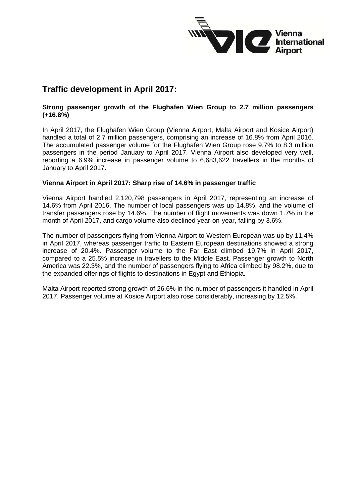

## **Traffic development in April 2017:**

## **Strong passenger growth of the Flughafen Wien Group to 2.7 million passengers (+16.8%)**

In April 2017, the Flughafen Wien Group (Vienna Airport, Malta Airport and Kosice Airport) handled a total of 2.7 million passengers, comprising an increase of 16.8% from April 2016. The accumulated passenger volume for the Flughafen Wien Group rose 9.7% to 8.3 million passengers in the period January to April 2017. Vienna Airport also developed very well, reporting a 6.9% increase in passenger volume to 6,683,622 travellers in the months of January to April 2017.

## **Vienna Airport in April 2017: Sharp rise of 14.6% in passenger traffic**

Vienna Airport handled 2,120,798 passengers in April 2017, representing an increase of 14.6% from April 2016. The number of local passengers was up 14.8%, and the volume of transfer passengers rose by 14.6%. The number of flight movements was down 1.7% in the month of April 2017, and cargo volume also declined year-on-year, falling by 3.6%.

The number of passengers flying from Vienna Airport to Western European was up by 11.4% in April 2017, whereas passenger traffic to Eastern European destinations showed a strong increase of 20.4%. Passenger volume to the Far East climbed 19.7% in April 2017, compared to a 25.5% increase in travellers to the Middle East. Passenger growth to North America was 22.3%, and the number of passengers flying to Africa climbed by 98.2%, due to the expanded offerings of flights to destinations in Egypt and Ethiopia.

Malta Airport reported strong growth of 26.6% in the number of passengers it handled in April 2017. Passenger volume at Kosice Airport also rose considerably, increasing by 12.5%.